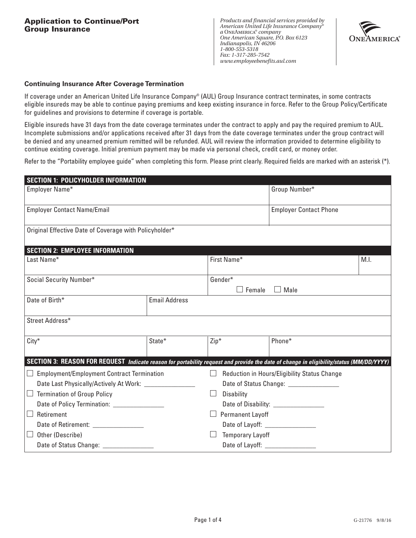*Products and financial services provided by American United Life Insurance Company® a* OneAmerica*® company One American Square, P.O. Box 6123 Indianapolis, IN 46206 1-800-553-5318 Fax: 1-317-285-7542 www.employeebenefits.aul.com*



#### **Continuing Insurance After Coverage Termination**

If coverage under an American United Life Insurance Company® (AUL) Group Insurance contract terminates, in some contracts eligible insureds may be able to continue paying premiums and keep existing insurance in force. Refer to the Group Policy/Certificate for guidelines and provisions to determine if coverage is portable.

Eligible insureds have 31 days from the date coverage terminates under the contract to apply and pay the required premium to AUL. Incomplete submissions and/or applications received after 31 days from the date coverage terminates under the group contract will be denied and any unearned premium remitted will be refunded. AUL will review the information provided to determine eligibility to continue existing coverage. Initial premium payment may be made via personal check, credit card, or money order.

Refer to the "Portability employee guide" when completing this form. Please print clearly. Required fields are marked with an asterisk (\*).

| <b>SECTION 1: POLICYHOLDER INFORMATION</b>                                                                                              |                      |                                                        |                               |  |  |
|-----------------------------------------------------------------------------------------------------------------------------------------|----------------------|--------------------------------------------------------|-------------------------------|--|--|
| Employer Name*                                                                                                                          |                      |                                                        | Group Number*                 |  |  |
| <b>Employer Contact Name/Email</b>                                                                                                      |                      |                                                        | <b>Employer Contact Phone</b> |  |  |
| Original Effective Date of Coverage with Policyholder*                                                                                  |                      |                                                        |                               |  |  |
| <b>SECTION 2: EMPLOYEE INFORMATION</b>                                                                                                  |                      |                                                        |                               |  |  |
| Last Name*                                                                                                                              |                      | First Name*<br>M.I.                                    |                               |  |  |
| Social Security Number*                                                                                                                 |                      | Gender*<br>Female<br>$\Box$ Male                       |                               |  |  |
| Date of Birth*                                                                                                                          | <b>Email Address</b> |                                                        |                               |  |  |
| Street Address*                                                                                                                         |                      |                                                        |                               |  |  |
| $City*$                                                                                                                                 | State*               | $Zip*$                                                 | Phone*                        |  |  |
| SECTION 3: REASON FOR REQUEST Indicate reason for portability request and provide the date of change in eligibility/status (MM/DD/YYYY) |                      |                                                        |                               |  |  |
| <b>Employment/Employment Contract Termination</b>                                                                                       |                      | Reduction in Hours/Eligibility Status Change<br>$\Box$ |                               |  |  |
| Date Last Physically/Actively At Work: ____________                                                                                     |                      | Date of Status Change: __________________              |                               |  |  |
| <b>Termination of Group Policy</b>                                                                                                      |                      | Disability<br>$\mathbf{L}$                             |                               |  |  |
|                                                                                                                                         |                      |                                                        |                               |  |  |
| Retirement<br>$\Box$                                                                                                                    |                      | <b>Permanent Layoff</b><br>$\mathsf{I}$                |                               |  |  |
| Date of Retirement: __________________                                                                                                  |                      |                                                        |                               |  |  |
| Other (Describe)<br>$\mathsf{I} \mathsf{I}$                                                                                             |                      | <b>Temporary Layoff</b>                                |                               |  |  |
| Date of Status Change: ______________                                                                                                   |                      |                                                        |                               |  |  |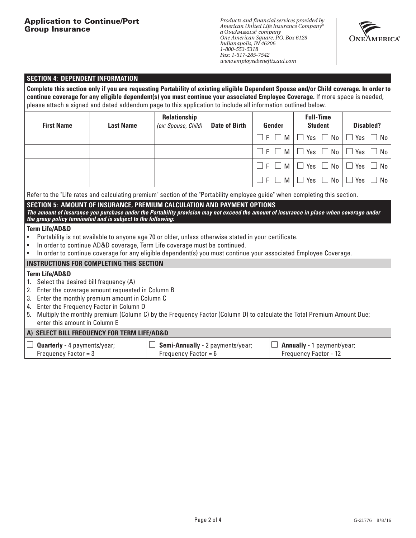## **Application to Continue/Port Group Insurance**

*Products and financial services provided by American United Life Insurance Company® a* OneAmerica*® company One American Square, P.O. Box 6123 Indianapolis, IN 46206 1-800-553-5318 Fax: 1-317-285-7542 www.employeebenefits.aul.com*



#### **SECTION 4: DEPENDENT INFORMATION**

**Complete this section only if you are requesting Portability of existing eligible Dependent Spouse and/or Child coverage. In order to continue coverage for any eligible dependent(s) you must continue your associated Employee Coverage.** If more space is needed, please attach a signed and dated addendum page to this application to include all information outlined below.

| <b>First Name</b> | <b>Last Name</b> | Relationship<br>(ex: Spouse, Child) | <b>Date of Birth</b> | Gender                 | <b>Full-Time</b><br><b>Student</b>                                          | <b>Disabled?</b>                              |
|-------------------|------------------|-------------------------------------|----------------------|------------------------|-----------------------------------------------------------------------------|-----------------------------------------------|
|                   |                  |                                     |                      | $\Box$ F $\Box$<br>M I | $\perp$                                                                     | $'$ Yes $\Box$ No $\Box$ Yes $\Box$ No $\Box$ |
|                   |                  |                                     |                      | $\Box F$<br>M          |                                                                             | $\Box$ Yes $\Box$ No $\Box$ Yes $\Box$ No     |
|                   |                  |                                     |                      | $\Box$ F $\Box$        | $\mid$ M $\mid$ $\Box$ Yes $\;\Box$ No $\mid$ $\Box$ Yes $\;\Box$ No $\mid$ |                                               |
|                   |                  |                                     |                      | - LE<br>M I            |                                                                             | $\Box$ Yes $\Box$ No $\Box$ Yes $\Box$ No     |

Refer to the "Life rates and calculating premium" section of the "Portability employee guide" when completing this section.

#### **SECTION 5: AMOUNT OF INSURANCE, PREMIUM CALCULATION AND PAYMENT OPTIONS**

*The amount of insurance you purchase under the Portability provision may not exceed the amount of insurance in place when coverage under the group policy terminated and is subject to the following:*

#### **Term Life/AD&D**

- Portability is not available to anyone age 70 or older, unless otherwise stated in your certificate.
- In order to continue AD&D coverage, Term Life coverage must be continued.
- In order to continue coverage for any eligible dependent(s) you must continue your associated Employee Coverage.

#### **INSTRUCTIONS FOR COMPLETING THIS SECTION**

## **Term Life/AD&D**

- 1. Select the desired bill frequency (A)
- 2. Enter the coverage amount requested in Column B
- 3. Enter the monthly premium amount in Column C
- 4. Enter the Frequency Factor in Column D
- 5. Multiply the monthly premium (Column C) by the Frequency Factor (Column D) to calculate the Total Premium Amount Due; enter this amount in Column E

## **A) SELECT BILL FREQUENCY FOR TERM LIFE/AD&D**

| <b>Quarterly</b> - 4 payments/year; | $\Box$ Semi-Annually - 2 payments/year; | $\Box$ Annually - 1 payment/year; |
|-------------------------------------|-----------------------------------------|-----------------------------------|
| Frequency Factor $=$ 3              | Frequency Factor = $6$                  | <b>Frequency Factor - 12</b>      |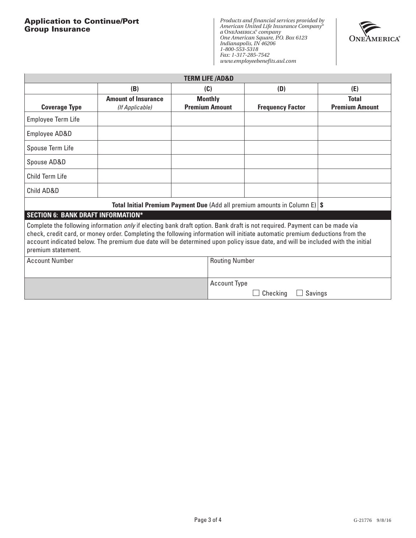# **Application to Continue/Port Group Insurance**

*Products and financial services provided by American United Life Insurance Company® a* OneAmerica*® company One American Square, P.O. Box 6123 Indianapolis, IN 46206 1-800-553-5318 Fax: 1-317-285-7542 www.employeebenefits.aul.com*



| <b>TERM LIFE /AD&amp;D</b>                                                                                                                                                                                                                                                                                                                                                                                                |                            |                       |                         |                       |
|---------------------------------------------------------------------------------------------------------------------------------------------------------------------------------------------------------------------------------------------------------------------------------------------------------------------------------------------------------------------------------------------------------------------------|----------------------------|-----------------------|-------------------------|-----------------------|
|                                                                                                                                                                                                                                                                                                                                                                                                                           | (B)                        | (C)                   | (D)                     | (E)                   |
|                                                                                                                                                                                                                                                                                                                                                                                                                           | <b>Amount of Insurance</b> | <b>Monthly</b>        |                         | <b>Total</b>          |
| <b>Coverage Type</b>                                                                                                                                                                                                                                                                                                                                                                                                      | (If Applicable)            | <b>Premium Amount</b> | <b>Frequency Factor</b> | <b>Premium Amount</b> |
| Employee Term Life                                                                                                                                                                                                                                                                                                                                                                                                        |                            |                       |                         |                       |
| Employee AD&D                                                                                                                                                                                                                                                                                                                                                                                                             |                            |                       |                         |                       |
| Spouse Term Life                                                                                                                                                                                                                                                                                                                                                                                                          |                            |                       |                         |                       |
| Spouse AD&D                                                                                                                                                                                                                                                                                                                                                                                                               |                            |                       |                         |                       |
| Child Term Life                                                                                                                                                                                                                                                                                                                                                                                                           |                            |                       |                         |                       |
| Child AD&D                                                                                                                                                                                                                                                                                                                                                                                                                |                            |                       |                         |                       |
| <b>Total Initial Premium Payment Due (Add all premium amounts in Column E) <math>\sin</math></b>                                                                                                                                                                                                                                                                                                                          |                            |                       |                         |                       |
| <b>SECTION 6: BANK DRAFT INFORMATION*</b>                                                                                                                                                                                                                                                                                                                                                                                 |                            |                       |                         |                       |
| Complete the following information <i>only</i> if electing bank draft option. Bank draft is not required. Payment can be made via<br>check, credit card, or money order. Completing the following information will initiate automatic premium deductions from the<br>account indicated below. The premium due date will be determined upon policy issue date, and will be included with the initial<br>premium statement. |                            |                       |                         |                       |
| <b>Account Number</b>                                                                                                                                                                                                                                                                                                                                                                                                     |                            | <b>Routing Number</b> |                         |                       |
|                                                                                                                                                                                                                                                                                                                                                                                                                           |                            | <b>Account Type</b>   | Checking<br>Savings     |                       |